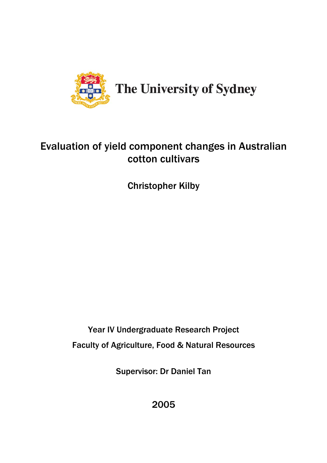

# Evaluation of yield component changes in Australian cotton cultivars

Christopher Kilby

Year IV Undergraduate Research Project Faculty of Agriculture, Food & Natural Resources

Supervisor: Dr Daniel Tan

2005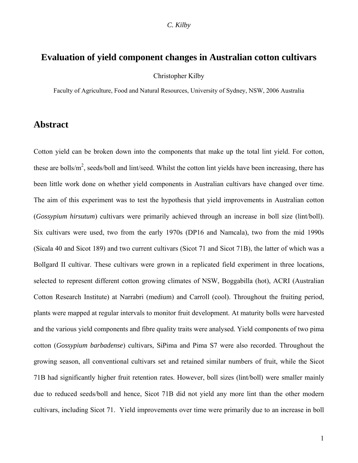# <span id="page-2-0"></span>**Evaluation of yield component changes in Australian cotton cultivars**

Christopher Kilby

Faculty of Agriculture, Food and Natural Resources, University of Sydney, NSW, 2006 Australia

# **Abstract**

Cotton yield can be broken down into the components that make up the total lint yield. For cotton, these are bolls/ $m^2$ , seeds/boll and lint/seed. Whilst the cotton lint yields have been increasing, there has been little work done on whether yield components in Australian cultivars have changed over time. The aim of this experiment was to test the hypothesis that yield improvements in Australian cotton (*Gossypium hirsutum*) cultivars were primarily achieved through an increase in boll size (lint/boll). Six cultivars were used, two from the early 1970s (DP16 and Namcala), two from the mid 1990s (Sicala 40 and Sicot 189) and two current cultivars (Sicot 71 and Sicot 71B), the latter of which was a Bollgard II cultivar. These cultivars were grown in a replicated field experiment in three locations, selected to represent different cotton growing climates of NSW, Boggabilla (hot), ACRI (Australian Cotton Research Institute) at Narrabri (medium) and Carroll (cool). Throughout the fruiting period, plants were mapped at regular intervals to monitor fruit development. At maturity bolls were harvested and the various yield components and fibre quality traits were analysed. Yield components of two pima cotton (*Gossypium barbadense*) cultivars, SiPima and Pima S7 were also recorded. Throughout the growing season, all conventional cultivars set and retained similar numbers of fruit, while the Sicot 71B had significantly higher fruit retention rates. However, boll sizes (lint/boll) were smaller mainly due to reduced seeds/boll and hence, Sicot 71B did not yield any more lint than the other modern cultivars, including Sicot 71. Yield improvements over time were primarily due to an increase in boll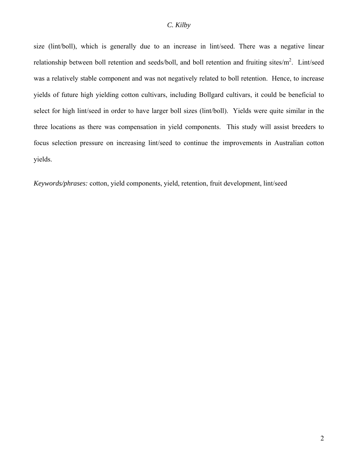size (lint/boll), which is generally due to an increase in lint/seed. There was a negative linear relationship between boll retention and seeds/boll, and boll retention and fruiting sites/ $m^2$ . Lint/seed was a relatively stable component and was not negatively related to boll retention. Hence, to increase yields of future high yielding cotton cultivars, including Bollgard cultivars, it could be beneficial to select for high lint/seed in order to have larger boll sizes (lint/boll). Yields were quite similar in the three locations as there was compensation in yield components. This study will assist breeders to focus selection pressure on increasing lint/seed to continue the improvements in Australian cotton yields.

*Keywords/phrases:* cotton, yield components, yield, retention, fruit development, lint/seed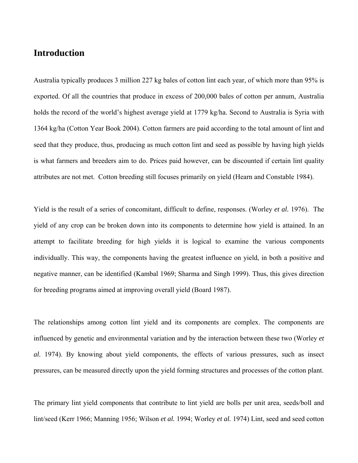# <span id="page-4-0"></span>**Introduction**

Australia typically produces 3 million 227 kg bales of cotton lint each year, of which more than 95% is exported. Of all the countries that produce in excess of 200,000 bales of cotton per annum, Australia holds the record of the world's highest average yield at 1779 kg/ha. Second to Australia is Syria with 1364 kg/ha (Cotton Year Book 2004). Cotton farmers are paid according to the total amount of lint and seed that they produce, thus, producing as much cotton lint and seed as possible by having high yields is what farmers and breeders aim to do. Prices paid however, can be discounted if certain lint quality attributes are not met. Cotton breeding still focuses primarily on yield (Hearn and Constable 1984).

Yield is the result of a series of concomitant, difficult to define, responses. (Worley *et al.* 1976). The yield of any crop can be broken down into its components to determine how yield is attained. In an attempt to facilitate breeding for high yields it is logical to examine the various components individually. This way, the components having the greatest influence on yield, in both a positive and negative manner, can be identified (Kambal 1969; Sharma and Singh 1999). Thus, this gives direction for breeding programs aimed at improving overall yield (Board 1987).

The relationships among cotton lint yield and its components are complex. The components are influenced by genetic and environmental variation and by the interaction between these two (Worley *et al.* 1974). By knowing about yield components, the effects of various pressures, such as insect pressures, can be measured directly upon the yield forming structures and processes of the cotton plant.

The primary lint yield components that contribute to lint yield are bolls per unit area, seeds/boll and lint/seed (Kerr 1966; Manning 1956; Wilson *et al.* 1994; Worley *et al.* 1974) Lint, seed and seed cotton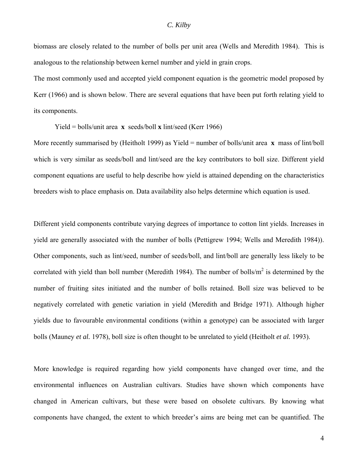biomass are closely related to the number of bolls per unit area (Wells and Meredith 1984). This is analogous to the relationship between kernel number and yield in grain crops.

The most commonly used and accepted yield component equation is the geometric model proposed by Kerr (1966) and is shown below. There are several equations that have been put forth relating yield to its components.

Yield = bolls/unit area **x** seeds/boll **x** lint/seed (Kerr 1966)

More recently summarised by (Heitholt 1999) as Yield = number of bolls/unit area **x** mass of lint/boll which is very similar as seeds/boll and lint/seed are the key contributors to boll size. Different yield component equations are useful to help describe how yield is attained depending on the characteristics breeders wish to place emphasis on. Data availability also helps determine which equation is used.

Different yield components contribute varying degrees of importance to cotton lint yields. Increases in yield are generally associated with the number of bolls (Pettigrew 1994; Wells and Meredith 1984)). Other components, such as lint/seed, number of seeds/boll, and lint/boll are generally less likely to be correlated with yield than boll number (Meredith 1984). The number of bolls/ $m<sup>2</sup>$  is determined by the number of fruiting sites initiated and the number of bolls retained. Boll size was believed to be negatively correlated with genetic variation in yield (Meredith and Bridge 1971). Although higher yields due to favourable environmental conditions (within a genotype) can be associated with larger bolls (Mauney *et al.* 1978), boll size is often thought to be unrelated to yield (Heitholt *et al.* 1993).

More knowledge is required regarding how yield components have changed over time, and the environmental influences on Australian cultivars. Studies have shown which components have changed in American cultivars, but these were based on obsolete cultivars. By knowing what components have changed, the extent to which breeder's aims are being met can be quantified. The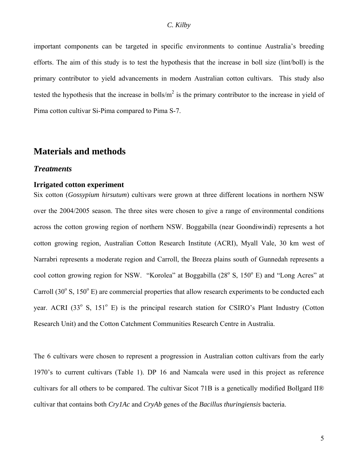<span id="page-6-0"></span>important components can be targeted in specific environments to continue Australia's breeding efforts. The aim of this study is to test the hypothesis that the increase in boll size (lint/boll) is the primary contributor to yield advancements in modern Australian cotton cultivars. This study also tested the hypothesis that the increase in bolls/ $m<sup>2</sup>$  is the primary contributor to the increase in yield of Pima cotton cultivar Si-Pima compared to Pima S-7.

# **Materials and methods**

#### *Treatments*

#### **Irrigated cotton experiment**

Six cotton (*Gossypium hirsutum*) cultivars were grown at three different locations in northern NSW over the 2004/2005 season. The three sites were chosen to give a range of environmental conditions across the cotton growing region of northern NSW. Boggabilla (near Goondiwindi) represents a hot cotton growing region, Australian Cotton Research Institute (ACRI), Myall Vale, 30 km west of Narrabri represents a moderate region and Carroll, the Breeza plains south of Gunnedah represents a cool cotton growing region for NSW. "Korolea" at Boggabilla (28° S, 150° E) and "Long Acres" at Carroll (30 $\degree$  S, 150 $\degree$  E) are commercial properties that allow research experiments to be conducted each year. ACRI (33<sup>°</sup> S, 151<sup>°</sup> E) is the principal research station for CSIRO's Plant Industry (Cotton Research Unit) and the Cotton Catchment Communities Research Centre in Australia.

The 6 cultivars were chosen to represent a progression in Australian cotton cultivars from the early 1970's to current cultivars (Table 1). DP 16 and Namcala were used in this project as reference cultivars for all others to be compared. The cultivar Sicot 71B is a genetically modified Bollgard II® cultivar that contains both *Cry1Ac* and *CryAb* genes of the *Bacillus thuringiensis* bacteria.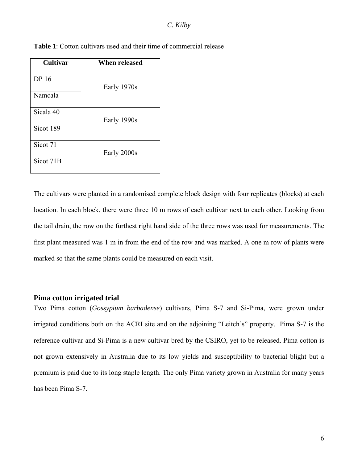| <b>Cultivar</b> | When released |
|-----------------|---------------|
| <b>DP</b> 16    |               |
| Namcala         | Early 1970s   |
|                 |               |
| Sicala 40       | Early 1990s   |
| Sicot 189       |               |
| Sicot 71        |               |
|                 | Early 2000s   |
| Sicot 71B       |               |

<span id="page-7-0"></span>**Table 1**: Cotton cultivars used and their time of commercial release

The cultivars were planted in a randomised complete block design with four replicates (blocks) at each location. In each block, there were three 10 m rows of each cultivar next to each other. Looking from the tail drain, the row on the furthest right hand side of the three rows was used for measurements. The first plant measured was 1 m in from the end of the row and was marked. A one m row of plants were marked so that the same plants could be measured on each visit.

#### **Pima cotton irrigated trial**

Two Pima cotton (*Gossypium barbadense*) cultivars, Pima S-7 and Si-Pima, were grown under irrigated conditions both on the ACRI site and on the adjoining "Leitch's" property. Pima S-7 is the reference cultivar and Si-Pima is a new cultivar bred by the CSIRO, yet to be released. Pima cotton is not grown extensively in Australia due to its low yields and susceptibility to bacterial blight but a premium is paid due to its long staple length. The only Pima variety grown in Australia for many years has been Pima S-7.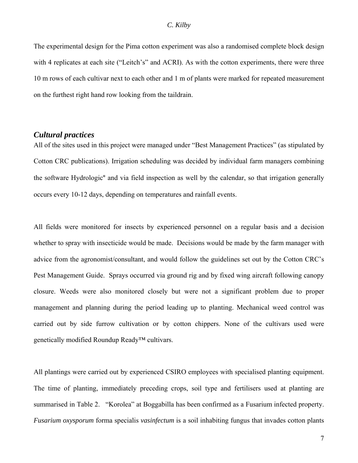<span id="page-8-0"></span>The experimental design for the Pima cotton experiment was also a randomised complete block design with 4 replicates at each site ("Leitch's" and ACRI). As with the cotton experiments, there were three 10 m rows of each cultivar next to each other and 1 m of plants were marked for repeated measurement on the furthest right hand row looking from the taildrain.

### *Cultural practices*

All of the sites used in this project were managed under "Best Management Practices" (as stipulated by Cotton CRC publications). Irrigation scheduling was decided by individual farm managers combining the software Hydrologic® and via field inspection as well by the calendar, so that irrigation generally occurs every 10-12 days, depending on temperatures and rainfall events.

All fields were monitored for insects by experienced personnel on a regular basis and a decision whether to spray with insecticide would be made. Decisions would be made by the farm manager with advice from the agronomist/consultant, and would follow the guidelines set out by the Cotton CRC's Pest Management Guide. Sprays occurred via ground rig and by fixed wing aircraft following canopy closure. Weeds were also monitored closely but were not a significant problem due to proper management and planning during the period leading up to planting. Mechanical weed control was carried out by side furrow cultivation or by cotton chippers. None of the cultivars used were genetically modified Roundup Ready™ cultivars.

All plantings were carried out by experienced CSIRO employees with specialised planting equipment. The time of planting, immediately preceding crops, soil type and fertilisers used at planting are summarised in Table 2. "Korolea" at Boggabilla has been confirmed as a Fusarium infected property. *Fusarium oxysporum* forma specialis *vasinfectum* is a soil inhabiting fungus that invades cotton plants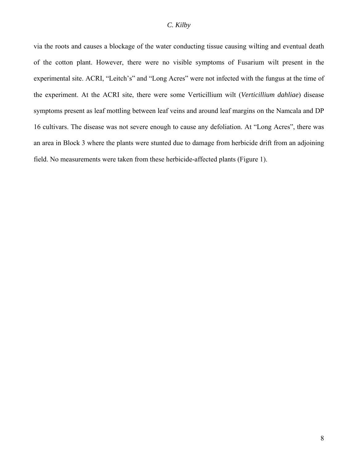via the roots and causes a blockage of the water conducting tissue causing wilting and eventual death of the cotton plant. However, there were no visible symptoms of Fusarium wilt present in the experimental site. ACRI, "Leitch's" and "Long Acres" were not infected with the fungus at the time of the experiment. At the ACRI site, there were some Verticillium wilt (*Verticillium dahliae*) disease symptoms present as leaf mottling between leaf veins and around leaf margins on the Namcala and DP 16 cultivars. The disease was not severe enough to cause any defoliation. At "Long Acres", there was an area in Block 3 where the plants were stunted due to damage from herbicide drift from an adjoining field. No measurements were taken from these herbicide-affected plants (Figure 1).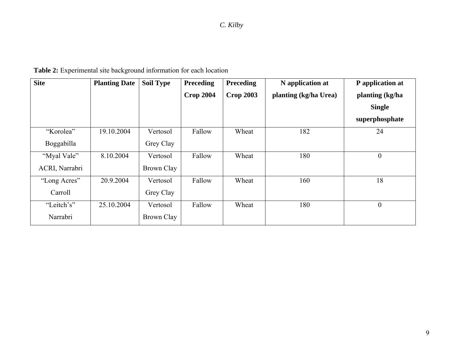| <b>Site</b>    | <b>Planting Date</b> | <b>Soil Type</b> | <b>Preceding</b> | <b>Preceding</b> | N application at      | P application at |
|----------------|----------------------|------------------|------------------|------------------|-----------------------|------------------|
|                |                      |                  | <b>Crop 2004</b> | <b>Crop 2003</b> | planting (kg/ha Urea) | planting (kg/ha  |
|                |                      |                  |                  |                  |                       | <b>Single</b>    |
|                |                      |                  |                  |                  |                       | superphosphate   |
| "Korolea"      | 19.10.2004           | Vertosol         | Fallow           | Wheat            | 182                   | 24               |
| Boggabilla     |                      | Grey Clay        |                  |                  |                       |                  |
| "Myal Vale"    | 8.10.2004            | Vertosol         | Fallow           | Wheat            | 180                   | $\boldsymbol{0}$ |
| ACRI, Narrabri |                      | Brown Clay       |                  |                  |                       |                  |
| "Long Acres"   | 20.9.2004            | Vertosol         | Fallow           | Wheat            | 160                   | 18               |
| Carroll        |                      | Grey Clay        |                  |                  |                       |                  |
| "Leitch's"     | 25.10.2004           | Vertosol         | Fallow           | Wheat            | 180                   | $\boldsymbol{0}$ |
| Narrabri       |                      | Brown Clay       |                  |                  |                       |                  |

**Table 2:** Experimental site background information for each location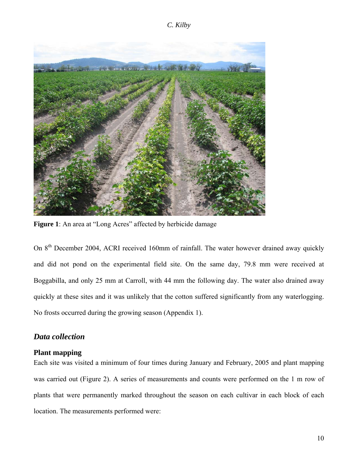<span id="page-11-0"></span>

Figure 1: An area at "Long Acres" affected by herbicide damage

On 8<sup>th</sup> December 2004, ACRI received 160mm of rainfall. The water however drained away quickly and did not pond on the experimental field site. On the same day, 79.8 mm were received at Boggabilla, and only 25 mm at Carroll, with 44 mm the following day. The water also drained away quickly at these sites and it was unlikely that the cotton suffered significantly from any waterlogging. No frosts occurred during the growing season (Appendix 1).

## *Data collection*

#### **Plant mapping**

Each site was visited a minimum of four times during January and February, 2005 and plant mapping was carried out (Figure 2). A series of measurements and counts were performed on the 1 m row of plants that were permanently marked throughout the season on each cultivar in each block of each location. The measurements performed were: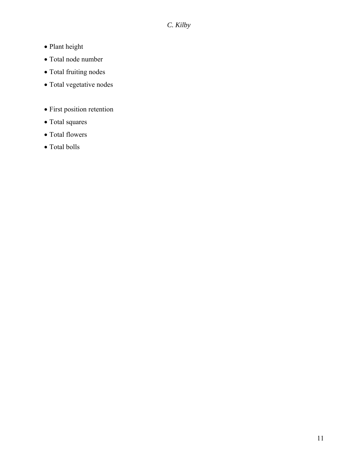- Plant height
- Total node number
- Total fruiting nodes
- Total vegetative nodes
- First position retention
- Total squares
- Total flowers
- $\bullet$  Total bolls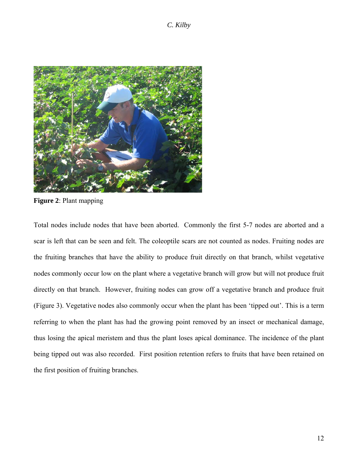

**Figure 2**: Plant mapping

Total nodes include nodes that have been aborted. Commonly the first 5-7 nodes are aborted and a scar is left that can be seen and felt. The coleoptile scars are not counted as nodes. Fruiting nodes are the fruiting branches that have the ability to produce fruit directly on that branch, whilst vegetative nodes commonly occur low on the plant where a vegetative branch will grow but will not produce fruit directly on that branch. However, fruiting nodes can grow off a vegetative branch and produce fruit (Figure 3). Vegetative nodes also commonly occur when the plant has been 'tipped out'. This is a term referring to when the plant has had the growing point removed by an insect or mechanical damage, thus losing the apical meristem and thus the plant loses apical dominance. The incidence of the plant being tipped out was also recorded. First position retention refers to fruits that have been retained on the first position of fruiting branches.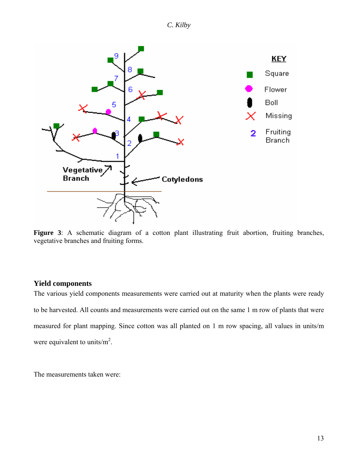

<span id="page-14-0"></span>

Figure 3: A schematic diagram of a cotton plant illustrating fruit abortion, fruiting branches, vegetative branches and fruiting forms.

## **Yield components**

The various yield components measurements were carried out at maturity when the plants were ready to be harvested. All counts and measurements were carried out on the same 1 m row of plants that were measured for plant mapping. Since cotton was all planted on 1 m row spacing, all values in units/m were equivalent to units/ $m^2$ .

The measurements taken were: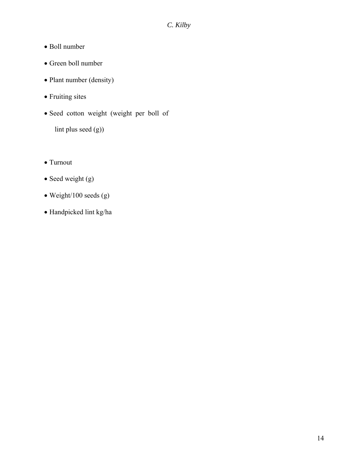- Boll number
- Green boll number
- Plant number (density)
- Fruiting sites
- Seed cotton weight (weight per boll of

lint plus seed (g))

- Turnout
- Seed weight (g)
- Weight/100 seeds (g)
- Handpicked lint kg/ha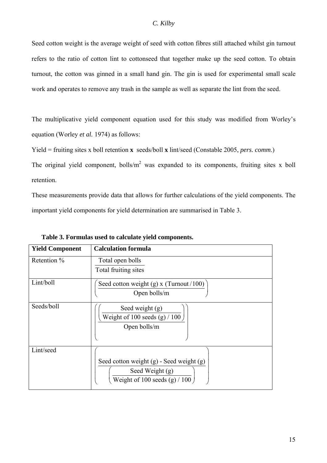### *C. Kilby*

Seed cotton weight is the average weight of seed with cotton fibres still attached whilst gin turnout refers to the ratio of cotton lint to cottonseed that together make up the seed cotton. To obtain turnout, the cotton was ginned in a small hand gin. The gin is used for experimental small scale work and operates to remove any trash in the sample as well as separate the lint from the seed.

The multiplicative yield component equation used for this study was modified from Worley's equation (Worley *et al.* 1974) as follows:

Yield = fruiting sites x boll retention **x** seeds/boll **x** lint/seed (Constable 2005, *pers. comm*.)

The original yield component, bolls/ $m^2$  was expanded to its components, fruiting sites x boll retention.

These measurements provide data that allows for further calculations of the yield components. The important yield components for yield determination are summarised in Table 3.

| <b>Yield Component</b> | <b>Calculation formula</b>                   |
|------------------------|----------------------------------------------|
| Retention %            | Total open bolls                             |
|                        | Total fruiting sites                         |
| Lint/boll              | Seed cotton weight (g) x (Turnout $/100$ )   |
|                        | Open bolls/m                                 |
| Seeds/boll             | Seed weight $(g)$                            |
|                        | Weight of 100 seeds (g) $/ 100$              |
|                        | Open bolls/m                                 |
|                        |                                              |
| Lint/seed              |                                              |
|                        | Seed cotton weight $(g)$ - Seed weight $(g)$ |
|                        | Seed Weight (g)                              |
|                        | Weight of 100 seeds $(g) / 100$              |

**Table 3. Formulas used to calculate yield components.**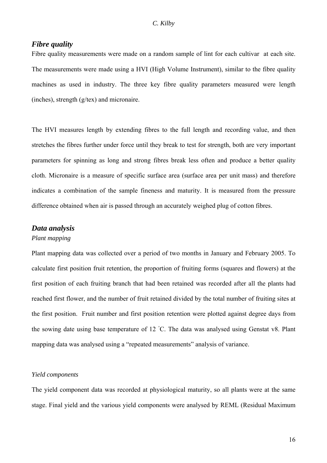## <span id="page-17-0"></span>*Fibre quality*

Fibre quality measurements were made on a random sample of lint for each cultivar at each site. The measurements were made using a HVI (High Volume Instrument), similar to the fibre quality machines as used in industry. The three key fibre quality parameters measured were length (inches), strength (g/tex) and micronaire.

The HVI measures length by extending fibres to the full length and recording value, and then stretches the fibres further under force until they break to test for strength, both are very important parameters for spinning as long and strong fibres break less often and produce a better quality cloth. Micronaire is a measure of specific surface area (surface area per unit mass) and therefore indicates a combination of the sample fineness and maturity. It is measured from the pressure difference obtained when air is passed through an accurately weighed plug of cotton fibres.

#### *Data analysis*

## *Plant mapping*

Plant mapping data was collected over a period of two months in January and February 2005. To calculate first position fruit retention, the proportion of fruiting forms (squares and flowers) at the first position of each fruiting branch that had been retained was recorded after all the plants had reached first flower, and the number of fruit retained divided by the total number of fruiting sites at the first position. Fruit number and first position retention were plotted against degree days from the sowing date using base temperature of 12 °C. The data was analysed using Genstat v8. Plant mapping data was analysed using a "repeated measurements" analysis of variance.

#### *Yield components*

The yield component data was recorded at physiological maturity, so all plants were at the same stage. Final yield and the various yield components were analysed by REML (Residual Maximum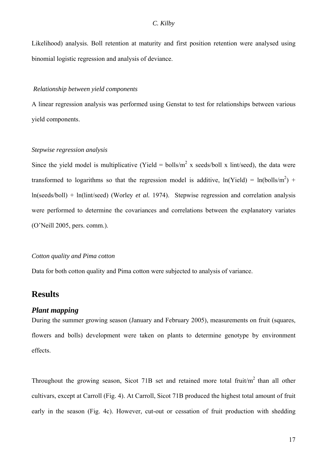<span id="page-18-0"></span>Likelihood) analysis. Boll retention at maturity and first position retention were analysed using binomial logistic regression and analysis of deviance.

#### *Relationship between yield components*

A linear regression analysis was performed using Genstat to test for relationships between various yield components.

#### *Stepwise regression analysis*

Since the yield model is multiplicative (Yield = bolls/m<sup>2</sup> x seeds/boll x lint/seed), the data were transformed to logarithms so that the regression model is additive,  $ln(Yield) = ln(bolls/m<sup>2</sup>) +$ ln(seeds/boll) + ln(lint/seed) (Worley *et al.* 1974). Stepwise regression and correlation analysis were performed to determine the covariances and correlations between the explanatory variates (O'Neill 2005, pers. comm.).

#### *Cotton quality and Pima cotton*

Data for both cotton quality and Pima cotton were subjected to analysis of variance.

# **Results**

### *Plant mapping*

During the summer growing season (January and February 2005), measurements on fruit (squares, flowers and bolls) development were taken on plants to determine genotype by environment effects.

Throughout the growing season, Sicot 71B set and retained more total fruit/ $m<sup>2</sup>$  than all other cultivars, except at Carroll (Fig. 4). At Carroll, Sicot 71B produced the highest total amount of fruit early in the season (Fig. 4c). However, cut-out or cessation of fruit production with shedding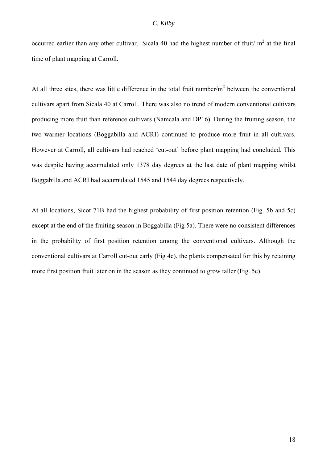occurred earlier than any other cultivar. Sicala 40 had the highest number of fruit/ $m<sup>2</sup>$  at the final time of plant mapping at Carroll.

At all three sites, there was little difference in the total fruit number/ $m<sup>2</sup>$  between the conventional cultivars apart from Sicala 40 at Carroll. There was also no trend of modern conventional cultivars producing more fruit than reference cultivars (Namcala and DP16). During the fruiting season, the two warmer locations (Boggabilla and ACRI) continued to produce more fruit in all cultivars. However at Carroll, all cultivars had reached 'cut-out' before plant mapping had concluded. This was despite having accumulated only 1378 day degrees at the last date of plant mapping whilst Boggabilla and ACRI had accumulated 1545 and 1544 day degrees respectively.

At all locations, Sicot 71B had the highest probability of first position retention (Fig. 5b and 5c) except at the end of the fruiting season in Boggabilla (Fig 5a). There were no consistent differences in the probability of first position retention among the conventional cultivars. Although the conventional cultivars at Carroll cut-out early (Fig 4c), the plants compensated for this by retaining more first position fruit later on in the season as they continued to grow taller (Fig. 5c).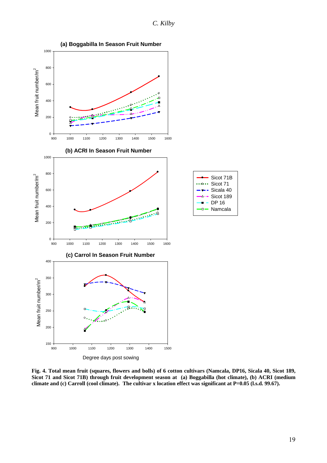*C. Kilby* 



**Fig. 4. Total mean fruit (squares, flowers and bolls) of 6 cotton cultivars (Namcala, DP16, Sicala 40, Sicot 189, Sicot 71 and Sicot 71B) through fruit development season at (a) Boggabilla (hot climate), (b) ACRI (medium climate and (c) Carroll (cool climate). The cultivar x location effect was significant at P=0.05 (l.s.d. 99.67).**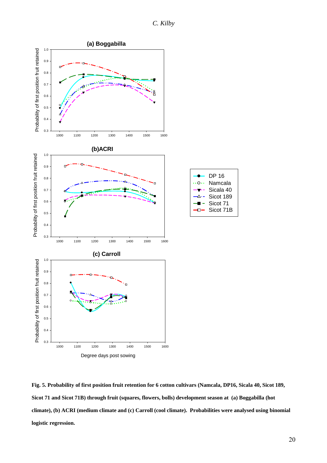*C. Kilby* 



**Fig. 5. Probability of first position fruit retention for 6 cotton cultivars (Namcala, DP16, Sicala 40, Sicot 189, Sicot 71 and Sicot 71B) through fruit (squares, flowers, bolls) development season at (a) Boggabilla (hot climate), (b) ACRI (medium climate and (c) Carroll (cool climate). Probabilities were analysed using binomial logistic regression.**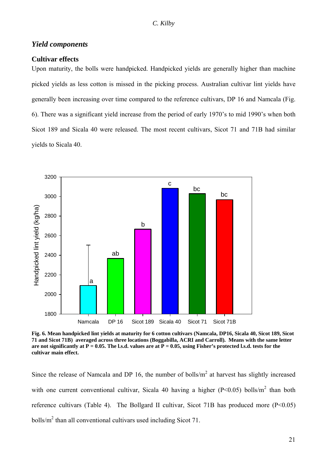### <span id="page-22-0"></span>*Yield components*

#### **Cultivar effects**

Upon maturity, the bolls were handpicked. Handpicked yields are generally higher than machine picked yields as less cotton is missed in the picking process. Australian cultivar lint yields have generally been increasing over time compared to the reference cultivars, DP 16 and Namcala (Fig. 6). There was a significant yield increase from the period of early 1970's to mid 1990's when both Sicot 189 and Sicala 40 were released. The most recent cultivars, Sicot 71 and 71B had similar yields to Sicala 40.



**Fig. 6. Mean handpicked lint yields at maturity for 6 cotton cultivars (Namcala, DP16, Sicala 40, Sicot 189, Sicot 71 and Sicot 71B) averaged across three locations (Boggabilla, ACRI and Carroll). Means with the same letter** are not significantly at  $P = 0.05$ . The l.s.d. values are at  $P = 0.05$ , using Fisher's protected l.s.d. tests for the **cultivar main effect.** 

Since the release of Namcala and DP 16, the number of bolls/ $m<sup>2</sup>$  at harvest has slightly increased with one current conventional cultivar, Sicala 40 having a higher ( $P<0.05$ ) bolls/m<sup>2</sup> than both reference cultivars (Table 4). The Bollgard II cultivar, Sicot 71B has produced more  $(P<0.05)$ bolls/ $m^2$  than all conventional cultivars used including Sicot 71.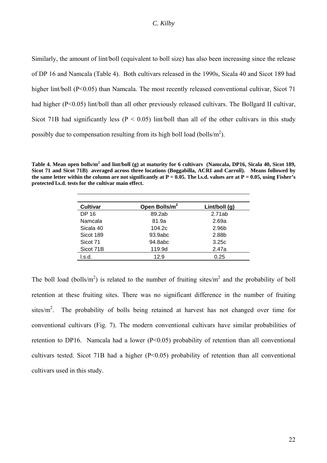Similarly, the amount of lint/boll (equivalent to boll size) has also been increasing since the release of DP 16 and Namcala (Table 4). Both cultivars released in the 1990s, Sicala 40 and Sicot 189 had higher lint/boll (P<0.05) than Namcala. The most recently released conventional cultivar, Sicot 71 had higher (P<0.05) lint/boll than all other previously released cultivars. The Bollgard II cultivar, Sicot 71B had significantly less ( $P < 0.05$ ) lint/boll than all of the other cultivars in this study possibly due to compensation resulting from its high boll load (bolls/ $m<sup>2</sup>$ ).

**Table 4. Mean open bolls/m<sup>2</sup> and lint/boll (g) at maturity for 6 cultivars (Namcala, DP16, Sicala 40, Sicot 189, Sicot 71 and Sicot 71B) averaged across three locations (Boggabilla, ACRI and Carroll). Means followed by**  the same letter within the column are not significantly at  $P = 0.05$ . The l.s.d. values are at  $P = 0.05$ , using Fisher's **protected l.s.d. tests for the cultivar main effect.**

| <b>Cultivar</b> | Open Bolls/m <sup>2</sup> | Lint/boll (g) |
|-----------------|---------------------------|---------------|
| DP 16           | 89.2ab                    | 2.71ab        |
| Namcala         | 81.9a                     | 2.69a         |
| Sicala 40       | 104.2c                    | 2.96b         |
| Sicot 189       | 93.9abc                   | 2.88b         |
| Sicot 71        | 94.8abc                   | 3.25c         |
| Sicot 71B       | 119.9d                    | 2.47a         |
| l.s.d.          | 12.9                      | 0.25          |
|                 |                           |               |

The boll load (bolls/m<sup>2</sup>) is related to the number of fruiting sites/m<sup>2</sup> and the probability of boll retention at these fruiting sites. There was no significant difference in the number of fruiting sites/ $m^2$ . The probability of bolls being retained at harvest has not changed over time for conventional cultivars (Fig. 7). The modern conventional cultivars have similar probabilities of retention to DP16. Namcala had a lower (P<0.05) probability of retention than all conventional cultivars tested. Sicot 71B had a higher (P<0.05) probability of retention than all conventional cultivars used in this study.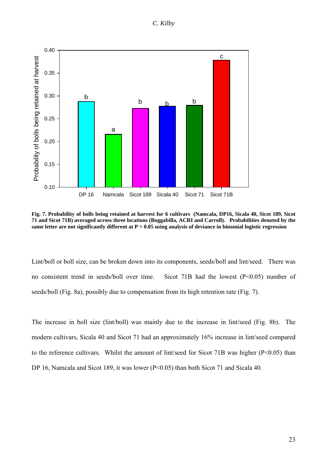

**Fig. 7. Probability of bolls being retained at harvest for 6 cultivars (Namcala, DP16, Sicala 40, Sicot 189, Sicot 71 and Sicot 71B) averaged across three locations (Boggabilla, ACRI and Carroll). Probabilities denoted by the same letter are not significantly different at P = 0.05 using analysis of deviance in binomial logistic regression** 

Lint/boll or boll size, can be broken down into its components, seeds/boll and lint/seed. There was no consistent trend in seeds/boll over time. Sicot 71B had the lowest (P<0.05) number of seeds/boll (Fig. 8a), possibly due to compensation from its high retention rate (Fig. 7).

The increase in boll size (lint/boll) was mainly due to the increase in lint/seed (Fig. 8b). The modern cultivars, Sicala 40 and Sicot 71 had an approximately 16% increase in lint/seed compared to the reference cultivars. Whilst the amount of lint/seed for Sicot 71B was higher (P<0.05) than DP 16, Namcala and Sicot 189, it was lower (P<0.05) than both Sicot 71 and Sicala 40.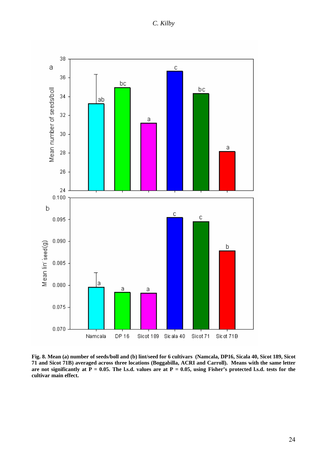*C. Kilby* 



**Fig. 8. Mean (a) number of seeds/boll and (b) lint/seed for 6 cultivars (Namcala, DP16, Sicala 40, Sicot 189, Sicot 71 and Sicot 71B) averaged across three locations (Boggabilla, ACRI and Carroll). Means with the same letter** are not significantly at  $P = 0.05$ . The l.s.d. values are at  $P = 0.05$ , using Fisher's protected l.s.d. tests for the **cultivar main effect.**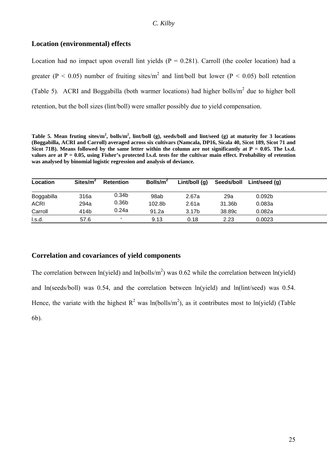## <span id="page-26-0"></span>**Location (environmental) effects**

Location had no impact upon overall lint yields  $(P = 0.281)$ . Carroll (the cooler location) had a greater ( $P < 0.05$ ) number of fruiting sites/m<sup>2</sup> and lint/boll but lower ( $P < 0.05$ ) boll retention (Table 5). ACRI and Boggabilla (both warmer locations) had higher bolls/ $m<sup>2</sup>$  due to higher boll retention, but the boll sizes (lint/boll) were smaller possibly due to yield compensation.

**Table 5. Mean fruting sites/m<sup>2</sup> , bolls/m2 , lint/boll (g), seeds/boll and lint/seed (g) at maturity for 3 locations (Boggabilla, ACRI and Carroll) averaged across six cultivars (Namcala, DP16, Sicala 40, Sicot 189, Sicot 71 and**  Sicot 71B). Means followed by the same letter within the column are not significantly at  $P = 0.05$ . The l.s.d. **values are at P = 0.05, using Fisher's protected l.s.d. tests for the cultivar main effect. Probability of retention was analysed by binomial logistic regression and analysis of deviance.**

| Location    | Sites/m <sup>2</sup> | <b>Retention</b>  | Bolls/ $m^2$ | Lint/boll $(q)$   | Seeds/boll | Lint/seed (g)      |  |
|-------------|----------------------|-------------------|--------------|-------------------|------------|--------------------|--|
| Boggabilla  | 316a                 | 0.34b             | 98ab         | 2.67a             | 29a        | 0.092 <sub>b</sub> |  |
| <b>ACRI</b> | 294a                 | 0.36 <sub>b</sub> | 102.8b       | 2.61a             | 31.36b     | 0.083a             |  |
| Carroll     | 414b                 | 0.24a             | 91.2a        | 3.17 <sub>b</sub> | 38.89c     | 0.082a             |  |
| l.s.d.      | 57.6                 |                   | 9.13         | 0.18              | 2.23       | 0.0023             |  |

## **Correlation and covariances of yield components**

The correlation between ln(yield) and ln(bolls/m<sup>2</sup>) was 0.62 while the correlation between ln(yield) and ln(seeds/boll) was 0.54, and the correlation between ln(yield) and ln(lint/seed) was 0.54. Hence, the variate with the highest  $R^2$  was ln(bolls/m<sup>2</sup>), as it contributes most to ln(yield) (Table 6b).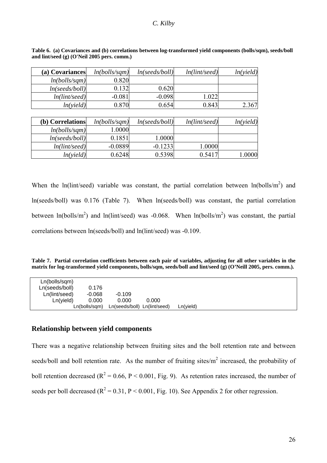#### *C. Kilby*

| (a) Covariances  | ln(bolls/sqm) | ln(seeds/boll) | ln(lint/seed) | ln(yield) |
|------------------|---------------|----------------|---------------|-----------|
| ln(bolls/sqm)    | 0.820         |                |               |           |
| ln(seeds/boll)   | 0.132         | 0.620          |               |           |
| ln(lint/seed)    | $-0.081$      | $-0.098$       | 1.022         |           |
| ln(yield)        | 0.870         | 0.654          | 0.843         | 2.367     |
|                  |               |                |               |           |
| (b) Correlations | ln(bolls/sqm) | ln(seeds/boll) | ln(lint/seed) | ln(yield) |
| ln(bolls/sqm)    | 1.0000        |                |               |           |
| ln(seeds/boll)   | 0.1851        | 1.0000         |               |           |

*ln(lint/seed)* -0.0889 -0.1233 1.0000

<span id="page-27-0"></span>**Table 6. (a) Covariances and (b) correlations between log-transformed yield components (bolls/sqm), seeds/boll and lint/seed (g) (O'Neil 2005 pers. comm.)** 

When the ln(lint/seed) variable was constant, the partial correlation between  $ln(bolls/m<sup>2</sup>)$  and ln(seeds/boll) was 0.176 (Table 7). When ln(seeds/boll) was constant, the partial correlation between  $ln(bolls/m<sup>2</sup>)$  and  $ln(lint/seed)$  was -0.068. When  $ln(bolls/m<sup>2</sup>)$  was constant, the partial correlations between ln(seeds/boll) and ln(lint/seed) was -0.109.

*ln(yield)* 0.6248 0.5398 0.5417 1.0000

| Table 7. Partial correlation coefficients between each pair of variables, adjusting for all other variables in the |  |  |  |
|--------------------------------------------------------------------------------------------------------------------|--|--|--|
| matrix for log-transformed yield components, bolls/sqm, seeds/boll and lint/seed (g) (O'Neill 2005, pers. comm.).  |  |  |  |

| Ln(bolls/sqm)  |               |                              |       |           |  |  |
|----------------|---------------|------------------------------|-------|-----------|--|--|
| Ln(seeds/boll) | 0.176         |                              |       |           |  |  |
| Ln(lint/seed)  | $-0.068$      | $-0.109$                     |       |           |  |  |
| Ln(yield)      | 0.000         | 0.000                        | 0.000 |           |  |  |
|                | Ln(bolls/sam) | Ln(seeds/boll) Ln(lint/seed) |       | Ln(yield) |  |  |

## **Relationship between yield components**

There was a negative relationship between fruiting sites and the boll retention rate and between seeds/boll and boll retention rate. As the number of fruiting sites/ $m<sup>2</sup>$  increased, the probability of boll retention decreased ( $R^2 = 0.66$ ,  $P < 0.001$ , Fig. 9). As retention rates increased, the number of seeds per boll decreased ( $R^2 = 0.31$ ,  $P < 0.001$ , Fig. 10). See Appendix 2 for other regression.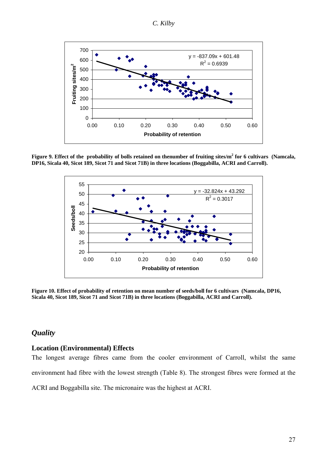*C. Kilby* 

<span id="page-28-0"></span>![](_page_28_Figure_1.jpeg)

Figure 9. Effect of the probability of bolls retained on thenumber of fruiting sites/m<sup>2</sup> for 6 cultivars (Namcala, **DP16, Sicala 40, Sicot 189, Sicot 71 and Sicot 71B) in three locations (Boggabilla, ACRI and Carroll).** 

![](_page_28_Figure_3.jpeg)

**Figure 10. Effect of probability of retention on mean number of seeds/boll for 6 cultivars (Namcala, DP16, Sicala 40, Sicot 189, Sicot 71 and Sicot 71B) in three locations (Boggabilla, ACRI and Carroll).** 

# *Quality*

### **Location (Environmental) Effects**

The longest average fibres came from the cooler environment of Carroll, whilst the same environment had fibre with the lowest strength (Table 8). The strongest fibres were formed at the ACRI and Boggabilla site. The micronaire was the highest at ACRI.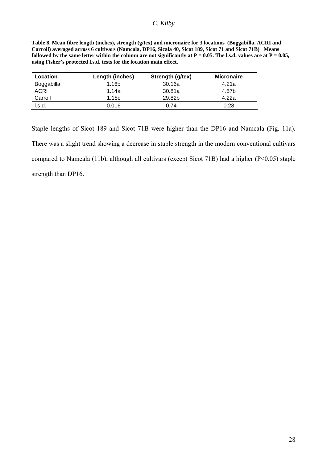| Table 8. Mean fibre length (inches), strength (g/tex) and micronaire for 3 locations (Boggabilla, ACRI and                |
|---------------------------------------------------------------------------------------------------------------------------|
| Carroll) averaged across 6 cultivars (Namcala, DP16, Sicala 40, Sicot 189, Sicot 71 and Sicot 71B) Means                  |
| followed by the same letter within the column are not significantly at $P = 0.05$ . The l.s.d. values are at $P = 0.05$ , |
| using Fisher's protected l.s.d. tests for the location main effect.                                                       |

| Length (inches) | Strength (g/tex) | <b>Micronaire</b> |
|-----------------|------------------|-------------------|
| 1.16b           | 30.16a           | 4.21a             |
| 1.14a           | 30.81a           | 4.57b             |
| 1.18c           | 29.82b           | 4.22a             |
| 0.016           | 0.74             | 0.28              |
|                 |                  |                   |

Staple lengths of Sicot 189 and Sicot 71B were higher than the DP16 and Namcala (Fig. 11a). There was a slight trend showing a decrease in staple strength in the modern conventional cultivars compared to Namcala (11b), although all cultivars (except Sicot 71B) had a higher (P<0.05) staple strength than DP16.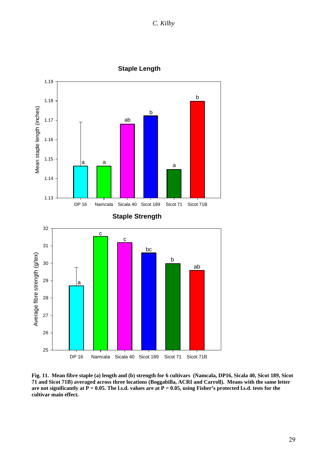![](_page_30_Figure_0.jpeg)

![](_page_30_Figure_1.jpeg)

**Fig. 11. Mean fibre staple (a) length and (b) strength for 6 cultivars (Namcala, DP16, Sicala 40, Sicot 189, Sicot 71 and Sicot 71B) averaged across three locations (Boggabilla, ACRI and Carroll). Means with the same letter** are not significantly at  $\overline{P} = 0.05$ . The l.s.d. values are at  $P = 0.05$ , using Fisher's protected l.s.d. tests for the **cultivar main effect.**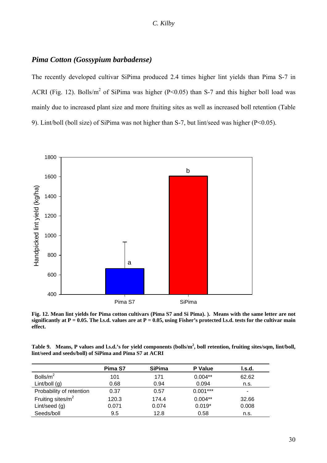## <span id="page-31-0"></span>*Pima Cotton (Gossypium barbadense)*

The recently developed cultivar SiPima produced 2.4 times higher lint yields than Pima S-7 in ACRI (Fig. 12). Bolls/m<sup>2</sup> of SiPima was higher (P<0.05) than S-7 and this higher boll load was mainly due to increased plant size and more fruiting sites as well as increased boll retention (Table 9). Lint/boll (boll size) of SiPima was not higher than S-7, but lint/seed was higher (P<0.05).

![](_page_31_Figure_3.jpeg)

**Fig. 12. Mean lint yields for Pima cotton cultivars (Pima S7 and Si Pima). ). Means with the same letter are not significantly at P = 0.05. The l.s.d. values are at P = 0.05, using Fisher's protected l.s.d. tests for the cultivar main effect.** 

**Table 9. Means, P values and l.s.d.'s for yield components (bolls/m2 , boll retention, fruiting sites/sqm, lint/boll, lint/seed and seeds/boll) of SiPima and Pima S7 at ACRI**

|                          | Pima S7 | <b>SiPima</b> | <b>P</b> Value | I.S.d. |
|--------------------------|---------|---------------|----------------|--------|
| Bolls/ $m2$              | 101     | 171           | $0.004**$      | 62.62  |
| Lint/boll $(g)$          | 0.68    | 0.94          | 0.094          | n.s.   |
| Probability of retention | 0.37    | 0.57          | $0.001***$     | ۰      |
| Fruiting sites/ $m^2$    | 120.3   | 174.4         | $0.004**$      | 32.66  |
| Lint/seed (g)            | 0.071   | 0.074         | $0.019*$       | 0.008  |
| Seeds/boll               | 9.5     | 12.8          | 0.58           | n.s.   |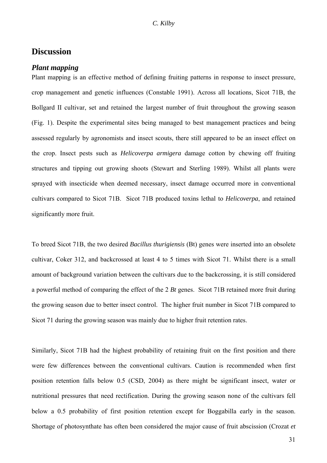# <span id="page-32-0"></span>**Discussion**

#### *Plant mapping*

Plant mapping is an effective method of defining fruiting patterns in response to insect pressure, crop management and genetic influences (Constable 1991). Across all locations, Sicot 71B, the Bollgard II cultivar, set and retained the largest number of fruit throughout the growing season (Fig. 1). Despite the experimental sites being managed to best management practices and being assessed regularly by agronomists and insect scouts, there still appeared to be an insect effect on the crop. Insect pests such as *Helicoverpa armigera* damage cotton by chewing off fruiting structures and tipping out growing shoots (Stewart and Sterling 1989). Whilst all plants were sprayed with insecticide when deemed necessary, insect damage occurred more in conventional cultivars compared to Sicot 71B. Sicot 71B produced toxins lethal to *Helicoverpa*, and retained significantly more fruit.

To breed Sicot 71B, the two desired *Bacillus thurigiensis* (Bt) genes were inserted into an obsolete cultivar, Coker 312, and backcrossed at least 4 to 5 times with Sicot 71. Whilst there is a small amount of background variation between the cultivars due to the backcrossing, it is still considered a powerful method of comparing the effect of the 2 *Bt* genes. Sicot 71B retained more fruit during the growing season due to better insect control. The higher fruit number in Sicot 71B compared to Sicot 71 during the growing season was mainly due to higher fruit retention rates.

Similarly, Sicot 71B had the highest probability of retaining fruit on the first position and there were few differences between the conventional cultivars. Caution is recommended when first position retention falls below 0.5 (CSD, 2004) as there might be significant insect, water or nutritional pressures that need rectification. During the growing season none of the cultivars fell below a 0.5 probability of first position retention except for Boggabilla early in the season. Shortage of photosynthate has often been considered the major cause of fruit abscission (Crozat *et*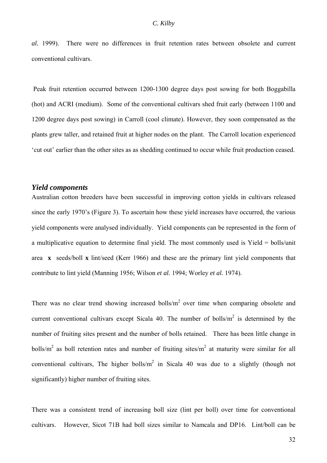<span id="page-33-0"></span>*al.* 1999). There were no differences in fruit retention rates between obsolete and current conventional cultivars.

Peak fruit retention occurred between 1200-1300 degree days post sowing for both Boggabilla (hot) and ACRI (medium). Some of the conventional cultivars shed fruit early (between 1100 and 1200 degree days post sowing) in Carroll (cool climate). However, they soon compensated as the plants grew taller, and retained fruit at higher nodes on the plant. The Carroll location experienced 'cut out' earlier than the other sites as as shedding continued to occur while fruit production ceased.

#### *Yield components*

Australian cotton breeders have been successful in improving cotton yields in cultivars released since the early 1970's (Figure 3). To ascertain how these yield increases have occurred, the various yield components were analysed individually. Yield components can be represented in the form of a multiplicative equation to determine final yield. The most commonly used is Yield = bolls/unit area **x** seeds/boll **x** lint/seed (Kerr 1966) and these are the primary lint yield components that contribute to lint yield (Manning 1956; Wilson *et al.* 1994; Worley *et al.* 1974).

There was no clear trend showing increased bolls/ $m<sup>2</sup>$  over time when comparing obsolete and current conventional cultivars except Sicala 40. The number of bolls/ $m<sup>2</sup>$  is determined by the number of fruiting sites present and the number of bolls retained. There has been little change in bolls/ $m<sup>2</sup>$  as boll retention rates and number of fruiting sites/ $m<sup>2</sup>$  at maturity were similar for all conventional cultivars, The higher bolls/ $m^2$  in Sicala 40 was due to a slightly (though not significantly) higher number of fruiting sites.

There was a consistent trend of increasing boll size (lint per boll) over time for conventional cultivars. However, Sicot 71B had boll sizes similar to Namcala and DP16. Lint/boll can be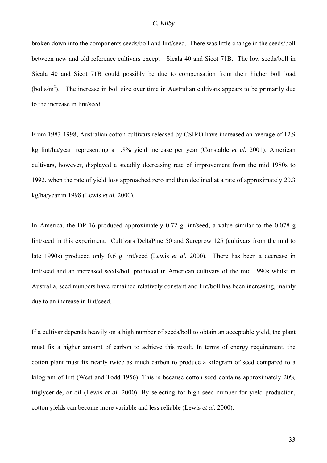#### *C. Kilby*

broken down into the components seeds/boll and lint/seed. There was little change in the seeds/boll between new and old reference cultivars except Sicala 40 and Sicot 71B. The low seeds/boll in Sicala 40 and Sicot 71B could possibly be due to compensation from their higher boll load (bolls/ $m<sup>2</sup>$ ). The increase in boll size over time in Australian cultivars appears to be primarily due to the increase in lint/seed.

From 1983-1998, Australian cotton cultivars released by CSIRO have increased an average of 12.9 kg lint/ha/year, representing a 1.8% yield increase per year (Constable *et al.* 2001). American cultivars, however, displayed a steadily decreasing rate of improvement from the mid 1980s to 1992, when the rate of yield loss approached zero and then declined at a rate of approximately 20.3 kg/ha/year in 1998 (Lewis *et al.* 2000).

In America, the DP 16 produced approximately 0.72 g lint/seed, a value similar to the 0.078 g lint/seed in this experiment. Cultivars DeltaPine 50 and Suregrow 125 (cultivars from the mid to late 1990s) produced only 0.6 g lint/seed (Lewis *et al.* 2000). There has been a decrease in lint/seed and an increased seeds/boll produced in American cultivars of the mid 1990s whilst in Australia, seed numbers have remained relatively constant and lint/boll has been increasing, mainly due to an increase in lint/seed.

If a cultivar depends heavily on a high number of seeds/boll to obtain an acceptable yield, the plant must fix a higher amount of carbon to achieve this result. In terms of energy requirement, the cotton plant must fix nearly twice as much carbon to produce a kilogram of seed compared to a kilogram of lint (West and Todd 1956). This is because cotton seed contains approximately 20% triglyceride, or oil (Lewis *et al.* 2000). By selecting for high seed number for yield production, cotton yields can become more variable and less reliable (Lewis *et al.* 2000).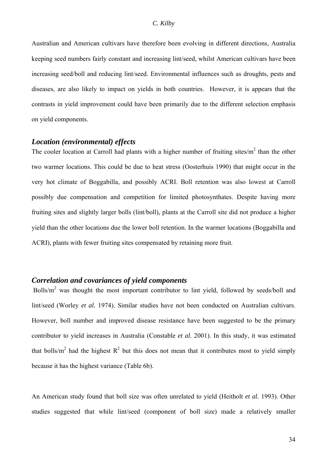<span id="page-35-0"></span>Australian and American cultivars have therefore been evolving in different directions, Australia keeping seed numbers fairly constant and increasing lint/seed, whilst American cultivars have been increasing seed/boll and reducing lint/seed. Environmental influences such as droughts, pests and diseases, are also likely to impact on yields in both countries. However, it is appears that the contrasts in yield improvement could have been primarily due to the different selection emphasis on yield components.

## *Location (environmental) effects*

The cooler location at Carroll had plants with a higher number of fruiting sites/ $m<sup>2</sup>$  than the other two warmer locations. This could be due to heat stress (Oosterhuis 1990) that might occur in the very hot climate of Boggabilla, and possibly ACRI. Boll retention was also lowest at Carroll possibly due compensation and competition for limited photosynthates. Despite having more fruiting sites and slightly larger bolls (lint/boll), plants at the Carroll site did not produce a higher yield than the other locations due the lower boll retention. In the warmer locations (Boggabilla and ACRI), plants with fewer fruiting sites compensated by retaining more fruit.

## *Correlation and covariances of yield components*

Bolls/m<sup>2</sup> was thought the most important contributor to lint yield, followed by seeds/boll and lint/seed (Worley *et al.* 1974). Similar studies have not been conducted on Australian cultivars. However, boll number and improved disease resistance have been suggested to be the primary contributor to yield increases in Australia (Constable *et al.* 2001). In this study, it was estimated that bolls/m<sup>2</sup> had the highest  $R^2$  but this does not mean that it contributes most to yield simply because it has the highest variance (Table 6b).

An American study found that boll size was often unrelated to yield (Heitholt *et al.* 1993). Other studies suggested that while lint/seed (component of boll size) made a relatively smaller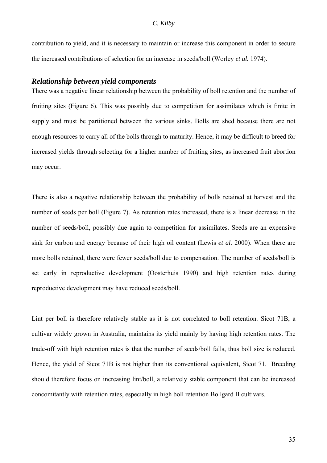<span id="page-36-0"></span>contribution to yield, and it is necessary to maintain or increase this component in order to secure the increased contributions of selection for an increase in seeds/boll (Worley *et al.* 1974).

#### *Relationship between yield components*

There was a negative linear relationship between the probability of boll retention and the number of fruiting sites (Figure 6). This was possibly due to competition for assimilates which is finite in supply and must be partitioned between the various sinks. Bolls are shed because there are not enough resources to carry all of the bolls through to maturity. Hence, it may be difficult to breed for increased yields through selecting for a higher number of fruiting sites, as increased fruit abortion may occur.

There is also a negative relationship between the probability of bolls retained at harvest and the number of seeds per boll (Figure 7). As retention rates increased, there is a linear decrease in the number of seeds/boll, possibly due again to competition for assimilates. Seeds are an expensive sink for carbon and energy because of their high oil content (Lewis *et al.* 2000). When there are more bolls retained, there were fewer seeds/boll due to compensation. The number of seeds/boll is set early in reproductive development (Oosterhuis 1990) and high retention rates during reproductive development may have reduced seeds/boll.

Lint per boll is therefore relatively stable as it is not correlated to boll retention. Sicot 71B, a cultivar widely grown in Australia, maintains its yield mainly by having high retention rates. The trade-off with high retention rates is that the number of seeds/boll falls, thus boll size is reduced. Hence, the vield of Sicot 71B is not higher than its conventional equivalent. Sicot 71. Breeding should therefore focus on increasing lint/boll, a relatively stable component that can be increased concomitantly with retention rates, especially in high boll retention Bollgard II cultivars.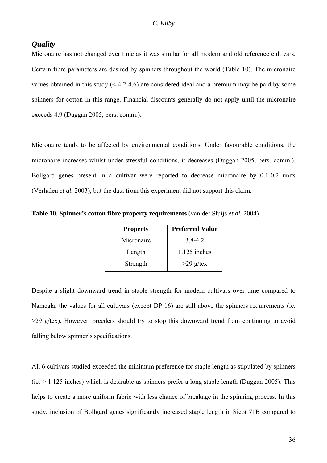#### <span id="page-37-0"></span>*Quality*

Micronaire has not changed over time as it was similar for all modern and old reference cultivars. Certain fibre parameters are desired by spinners throughout the world (Table 10). The micronaire values obtained in this study  $(4.2-4.6)$  are considered ideal and a premium may be paid by some spinners for cotton in this range. Financial discounts generally do not apply until the micronaire exceeds 4.9 (Duggan 2005, pers. comm.).

Micronaire tends to be affected by environmental conditions. Under favourable conditions, the micronaire increases whilst under stressful conditions, it decreases (Duggan 2005, pers. comm.). Bollgard genes present in a cultivar were reported to decrease micronaire by 0.1-0.2 units (Verhalen *et al.* 2003), but the data from this experiment did not support this claim.

| <b>Property</b> | <b>Preferred Value</b> |
|-----------------|------------------------|
| Micronaire      | $3.8 - 4.2$            |
| Length          | $1.125$ inches         |
| Strength        | $>29$ g/tex            |

**Table 10. Spinner's cotton fibre property requirements** (van der Sluijs *et al.* 2004)

Despite a slight downward trend in staple strength for modern cultivars over time compared to Namcala, the values for all cultivars (except DP 16) are still above the spinners requirements (ie. >29 g/tex). However, breeders should try to stop this downward trend from continuing to avoid falling below spinner's specifications.

All 6 cultivars studied exceeded the minimum preference for staple length as stipulated by spinners  $(ie. > 1.125$  inches) which is desirable as spinners prefer a long staple length (Duggan 2005). This helps to create a more uniform fabric with less chance of breakage in the spinning process. In this study, inclusion of Bollgard genes significantly increased staple length in Sicot 71B compared to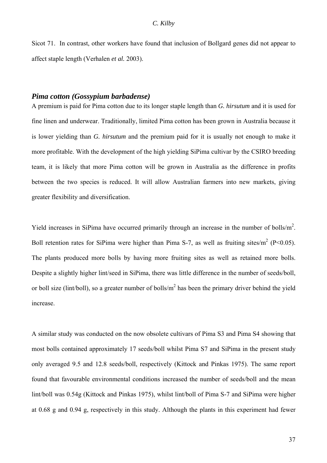<span id="page-38-0"></span>Sicot 71. In contrast, other workers have found that inclusion of Bollgard genes did not appear to affect staple length (Verhalen *et al.* 2003).

### *Pima cotton (Gossypium barbadense)*

A premium is paid for Pima cotton due to its longer staple length than *G. hirsutum* and it is used for fine linen and underwear. Traditionally, limited Pima cotton has been grown in Australia because it is lower yielding than *G. hirsutum* and the premium paid for it is usually not enough to make it more profitable. With the development of the high yielding SiPima cultivar by the CSIRO breeding team, it is likely that more Pima cotton will be grown in Australia as the difference in profits between the two species is reduced. It will allow Australian farmers into new markets, giving greater flexibility and diversification.

Yield increases in SiPima have occurred primarily through an increase in the number of bolls/ $m<sup>2</sup>$ . Boll retention rates for SiPima were higher than Pima S-7, as well as fruiting sites/ $m^2$  (P<0.05). The plants produced more bolls by having more fruiting sites as well as retained more bolls. Despite a slightly higher lint/seed in SiPima, there was little difference in the number of seeds/boll, or boll size (lint/boll), so a greater number of bolls/ $m<sup>2</sup>$  has been the primary driver behind the yield increase.

A similar study was conducted on the now obsolete cultivars of Pima S3 and Pima S4 showing that most bolls contained approximately 17 seeds/boll whilst Pima S7 and SiPima in the present study only averaged 9.5 and 12.8 seeds/boll, respectively (Kittock and Pinkas 1975). The same report found that favourable environmental conditions increased the number of seeds/boll and the mean lint/boll was 0.54g (Kittock and Pinkas 1975), whilst lint/boll of Pima S-7 and SiPima were higher at 0.68 g and 0.94 g, respectively in this study. Although the plants in this experiment had fewer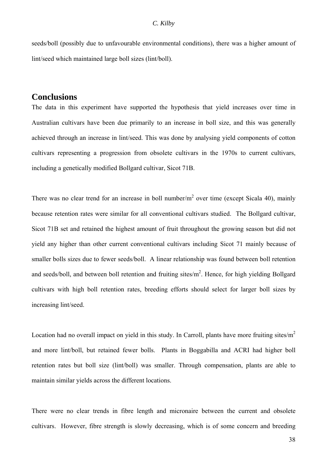<span id="page-39-0"></span>seeds/boll (possibly due to unfavourable environmental conditions), there was a higher amount of lint/seed which maintained large boll sizes (lint/boll).

# **Conclusions**

The data in this experiment have supported the hypothesis that yield increases over time in Australian cultivars have been due primarily to an increase in boll size, and this was generally achieved through an increase in lint/seed. This was done by analysing yield components of cotton cultivars representing a progression from obsolete cultivars in the 1970s to current cultivars, including a genetically modified Bollgard cultivar, Sicot 71B.

There was no clear trend for an increase in boll number/ $m<sup>2</sup>$  over time (except Sicala 40), mainly because retention rates were similar for all conventional cultivars studied. The Bollgard cultivar, Sicot 71B set and retained the highest amount of fruit throughout the growing season but did not yield any higher than other current conventional cultivars including Sicot 71 mainly because of smaller bolls sizes due to fewer seeds/boll. A linear relationship was found between boll retention and seeds/boll, and between boll retention and fruiting sites/ $m<sup>2</sup>$ . Hence, for high yielding Bollgard cultivars with high boll retention rates, breeding efforts should select for larger boll sizes by increasing lint/seed.

Location had no overall impact on yield in this study. In Carroll, plants have more fruiting sites/ $m<sup>2</sup>$ and more lint/boll, but retained fewer bolls. Plants in Boggabilla and ACRI had higher boll retention rates but boll size (lint/boll) was smaller. Through compensation, plants are able to maintain similar yields across the different locations.

There were no clear trends in fibre length and micronaire between the current and obsolete cultivars. However, fibre strength is slowly decreasing, which is of some concern and breeding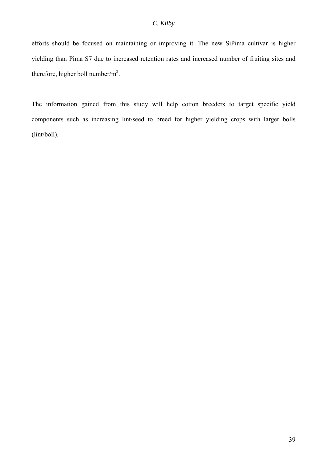efforts should be focused on maintaining or improving it. The new SiPima cultivar is higher yielding than Pima S7 due to increased retention rates and increased number of fruiting sites and therefore, higher boll number/ $m^2$ .

The information gained from this study will help cotton breeders to target specific yield components such as increasing lint/seed to breed for higher yielding crops with larger bolls (lint/boll).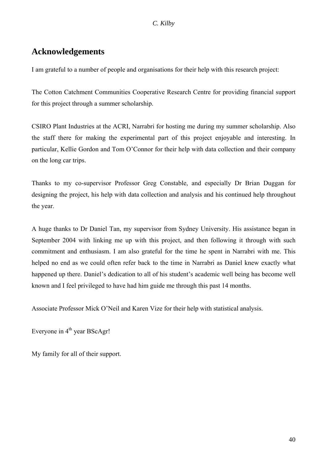# <span id="page-41-0"></span>**Acknowledgements**

I am grateful to a number of people and organisations for their help with this research project:

The Cotton Catchment Communities Cooperative Research Centre for providing financial support for this project through a summer scholarship.

CSIRO Plant Industries at the ACRI, Narrabri for hosting me during my summer scholarship. Also the staff there for making the experimental part of this project enjoyable and interesting. In particular, Kellie Gordon and Tom O'Connor for their help with data collection and their company on the long car trips.

Thanks to my co-supervisor Professor Greg Constable, and especially Dr Brian Duggan for designing the project, his help with data collection and analysis and his continued help throughout the year.

A huge thanks to Dr Daniel Tan, my supervisor from Sydney University. His assistance began in September 2004 with linking me up with this project, and then following it through with such commitment and enthusiasm. I am also grateful for the time he spent in Narrabri with me. This helped no end as we could often refer back to the time in Narrabri as Daniel knew exactly what happened up there. Daniel's dedication to all of his student's academic well being has become well known and I feel privileged to have had him guide me through this past 14 months.

Associate Professor Mick O'Neil and Karen Vize for their help with statistical analysis.

Everyone in  $4<sup>th</sup>$  year BScAgr!

My family for all of their support.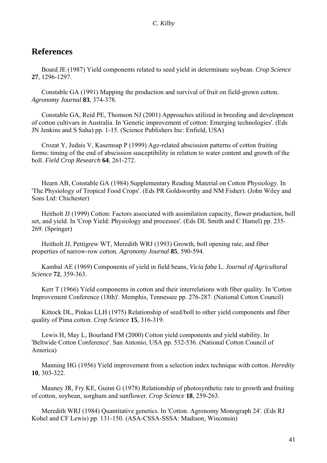# <span id="page-42-0"></span>**References**

Board JE (1987) Yield components related to seed yield in determinate soybean. *Crop Science* **27**, 1296-1297.

Constable GA (1991) Mapping the production and survival of fruit on field-grown cotton. *Agronomy Journal* **83**, 374-378.

Constable GA, Reid PE, Thomson NJ (2001) Approaches utilized in breeding and development of cotton cultivars in Australia. In 'Genetic improvement of cotton: Emerging technologies'. (Eds JN Jenkins and S Saha) pp. 1-15. (Science Publishers Inc: Enfield, USA)

Crozat Y, Judais V, Kasemsap P (1999) Age-related abscission patterns of cotton fruiting forms: timing of the end of abscission susceptibility in relation to water content and growth of the boll. *Field Crop Research* **64**, 261-272.

Hearn AB, Constable GA (1984) Supplementary Reading Material on Cotton Physiology. In 'The Physiology of Tropical Food Crops'. (Eds PR Goldsworthy and NM Fisher). (John Wiley and Sons Ltd: Chichester)

Heitholt JJ (1999) Cotton: Factors associated with assimilation capacity, flower production, boll set, and yield. In 'Crop Yield: Physiology and processes'. (Eds DL Smith and C Hamel) pp. 235- 269. (Springer)

Heitholt JJ, Pettigrew WT, Meredith WRJ (1993) Growth, boll opening rate, and fiber properties of narrow-row cotton. *Agronomy Journal* **85**, 590-594.

Kambal AE (1969) Components of yield in field beans, *Vicia faba* L. *Journal of Agricultural Science* **72**, 359-363.

Kerr T (1966) Yield components in cotton and their interrelations with fiber quality. In 'Cotton Improvement Conference (18th)'. Memphis, Tennessee pp. 276-287. (National Cotton Council)

Kittock DL, Pinkas LLH (1975) Relationship of seed/boll to other yield components and fiber quality of Pima cotton. *Crop Science* **15**, 316-319.

Lewis H, May L, Bourland FM (2000) Cotton yield components and yield stability. In 'Beltwide Cotton Conference'. San Antonio, USA pp. 532-536. (National Cotton Council of America)

Manning HG (1956) Yield improvement from a selection index technique with cotton. *Heredity* **10**, 303-322.

Mauney JR, Fry KE, Guinn G (1978) Relationship of photosynthetic rate to growth and fruiting of cotton, soybean, sorghum and sunflower. *Crop Science* **18**, 259-263.

Meredith WRJ (1984) Quantitative genetics. In 'Cotton. Agronomy Monograph 24'. (Eds RJ Kohel and CF Lewis) pp. 131-150. (ASA-CSSA-SSSA: Madison, Wisconsin)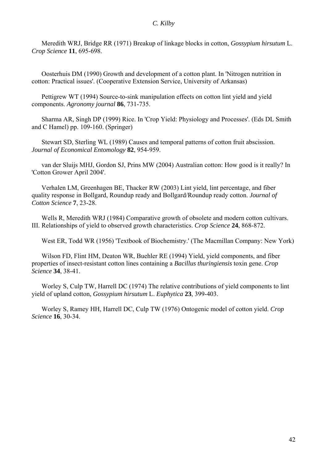Meredith WRJ, Bridge RR (1971) Breakup of linkage blocks in cotton, *Gossypium hirsutum* L. *Crop Science* **11**, 695-698.

Oosterhuis DM (1990) Growth and development of a cotton plant. In 'Nitrogen nutrition in cotton: Practical issues'. (Cooperative Extension Service, University of Arkansas)

Pettigrew WT (1994) Source-to-sink manipulation effects on cotton lint yield and yield components. *Agronomy journal* **86**, 731-735.

Sharma AR, Singh DP (1999) Rice. In 'Crop Yield: Physiology and Processes'. (Eds DL Smith and C Hamel) pp. 109-160. (Springer)

Stewart SD, Sterling WL (1989) Causes and temporal patterns of cotton fruit abscission. *Journal of Economical Entomology* **82**, 954-959.

van der Sluijs MHJ, Gordon SJ, Prins MW (2004) Australian cotton: How good is it really? In 'Cotton Grower April 2004'.

Verhalen LM, Greenhagen BE, Thacker RW (2003) Lint yield, lint percentage, and fiber quality response in Bollgard, Roundup ready and Bollgard/Roundup ready cotton. *Journal of Cotton Science* **7**, 23-28.

Wells R, Meredith WRJ (1984) Comparative growth of obsolete and modern cotton cultivars. III. Relationships of yield to observed growth characteristics. *Crop Science* **24**, 868-872.

West ER, Todd WR (1956) 'Textbook of Biochemistry.' (The Macmillan Company: New York)

Wilson FD, Flint HM, Deaton WR, Buehler RE (1994) Yield, yield components, and fiber properties of insect-resistant cotton lines containing a *Bacillus thuringiensis* toxin gene. *Crop Science* **34**, 38-41.

Worley S, Culp TW, Harrell DC (1974) The relative contributions of yield components to lint yield of upland cotton, *Gossypium hirsutum* L. *Euphytica* **23**, 399-403.

Worley S, Ramey HH, Harrell DC, Culp TW (1976) Ontogenic model of cotton yield. *Crop Science* **16**, 30-34.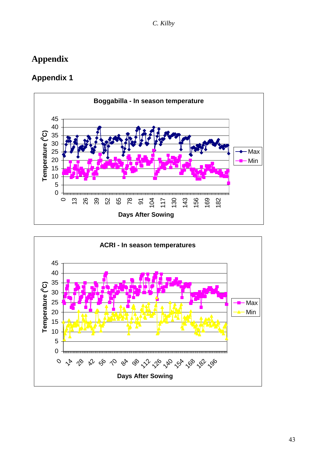# <span id="page-44-0"></span>**Appendix**

# **Appendix 1**

![](_page_44_Figure_3.jpeg)

![](_page_44_Figure_4.jpeg)